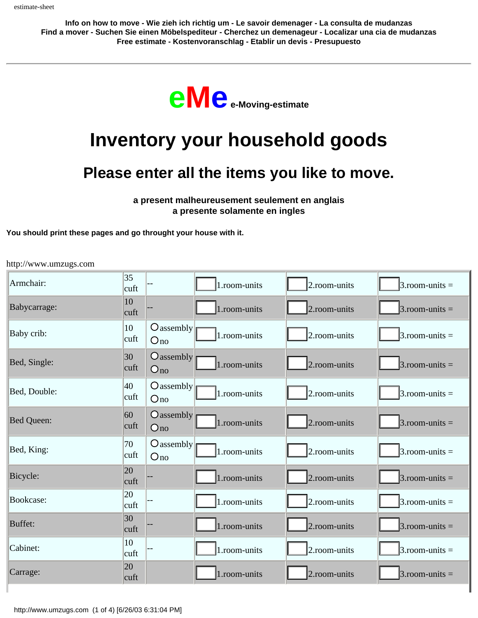**Info on how to move - Wie zieh ich richtig um - Le savoir demenager - La consulta de mudanzas Find a mover - Suchen Sie einen Möbelspediteur - Cherchez un demenageur - Localizar una cia de mudanzas Free estimate - Kostenvoranschlag - Etablir un devis - Presupuesto** 



## **Inventory your household goods**

## **Please enter all the items you like to move.**

**a present malheureusement seulement en anglais a presente solamente en ingles** 

**You should print these pages and go throught your house with it.**

http://www.umzugs.com

| Armchair:         | $ 35\rangle$<br> cutt |                                        | 1.room-units | 2.room-units | $3.room-units =$  |
|-------------------|-----------------------|----------------------------------------|--------------|--------------|-------------------|
| Babycarrage:      | $ 10\rangle$<br>cuft  |                                        | 1.room-units | 2.room-units | $3.$ room-units = |
| Baby crib:        | 10<br>cuft            | $\bigcirc$ assembly<br>$O_{\text{no}}$ | 1.room-units | 2.room-units | $3.room$ -units = |
| Bed, Single:      | $ 30\rangle$<br>cuft  | $O$ assembly<br>$O_{\text{no}}$        | 1.room-units | 2.room-units | $3.$ room-units = |
| Bed, Double:      | 40<br>cuft            | $O$ assembly<br>Ono                    | 1.room-units | 2.room-units | $3.room$ -units = |
| <b>Bed Queen:</b> | 60<br> cutt           | $O$ assembly<br>Ono                    | 1.room-units | 2.room-units | $3.room$ -units = |
| Bed, King:        | 70<br>cuft            | $O$ assembly<br>Ono                    | 1.room-units | 2.room-units | $3.$ room-units = |
| Bicycle:          | 20<br>cuft            |                                        | 1.room-units | 2.room-units | $3.$ room-units = |
| Bookcase:         | 20<br>cuft            |                                        | 1.room-units | 2.room-units | $3.$ room-units = |
| Buffet:           | $ 30\rangle$<br> cutt |                                        | 1.room-units | 2.room-units | $3.room$ -units = |
| Cabinet:          | 10<br>cuft            |                                        | 1.room-units | 2.room-units | $3.$ room-units = |
| Carrage:          | <b>20</b><br>cuft     |                                        | 1.room-units | 2.room-units | $3.$ room-units = |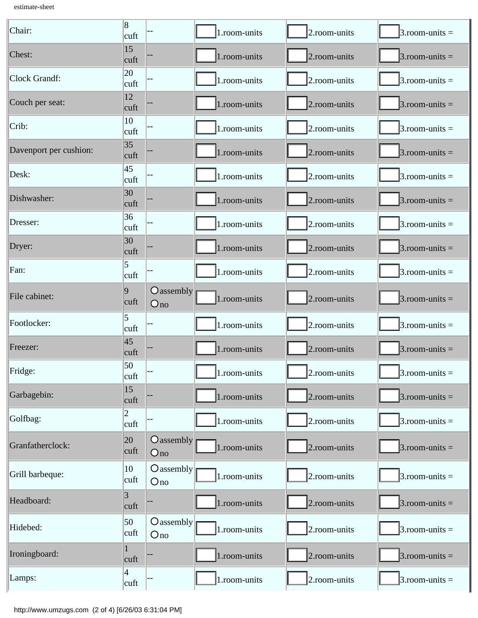estimate-sheet

| Chair:                 | 8<br>cuft              |                                 | 1.room-units | 2.room-units | $3.room$ -units = |
|------------------------|------------------------|---------------------------------|--------------|--------------|-------------------|
| Chest:                 | 15<br>cuft             |                                 | 1.room-units | 2.room-units | $3.room$ -units = |
| Clock Grandf:          | 20<br>cuft             |                                 | 1.room-units | 2.room-units | $3.room$ -units = |
| Couch per seat:        | 12<br>cuft             |                                 | 1.room-units | 2.room-units | $3.room$ -units = |
| Crib:                  | 10<br>cuft             |                                 | 1.room-units | 2.room-units | $3.room$ -units = |
| Davenport per cushion: | 35 <br>cuft            |                                 | 1.room-units | 2.room-units | $3.room-units =$  |
| Desk:                  | 45<br>cuft             |                                 | 1.room-units | 2.room-units | $3.$ room-units = |
| Dishwasher:            | 30<br>cuft             |                                 | 1.room-units | 2.room-units | $3.room$ -units = |
| Dresser:               | 36<br>cuft             |                                 | 1.room-units | 2.room-units | $3.room-units =$  |
| Dryer:                 | 30<br>cuft             |                                 | 1.room-units | 2.room-units | $3.$ room-units = |
| Fan:                   | 5<br>cuft              |                                 | 1.room-units | 2.room-units | $3.room-units =$  |
| File cabinet:          | 9<br>cuft              | $O$ assembly<br>O <sub>no</sub> | 1.room-units | 2.room-units | $3.room$ -units = |
| Footlocker:            | 5<br>cuft              |                                 | 1.room-units | 2.room-units | $3.room$ -units = |
| Freezer:               | 45<br>cuft             |                                 | 1.room-units | 2.room-units | $3.room-units =$  |
| Fridge:                | 50<br>cuft             |                                 | 1.room-units | 2.room-units | $3.$ room-units = |
| Garbagebin:            | 15<br>cuft             |                                 | 1.room-units | 2.room-units | $3.room$ -units = |
| Golfbag:               | $\overline{2}$<br>cuft |                                 | 1.room-units | 2.room-units | $3.$ room-units = |
| Granfatherclock:       | 20<br>cuft             | $O$ assembly<br>Ono             | 1.room-units | 2.room-units | $3.room-units =$  |
| Grill barbeque:        | 10<br>cuft             | $\bigcirc$ assembly<br>Ono      | 1.room-units | 2.room-units | $3.$ room-units = |
| Headboard:             | $\overline{3}$<br>cuft |                                 | 1.room-units | 2.room-units | $3.room$ -units = |
| Hidebed:               | 50<br>cuft             | $O$ assembly<br>Ono             | 1.room-units | 2.room-units | $3.room-units =$  |
| Ironingboard:          | cuft                   |                                 | 1.room-units | 2.room-units | $3.room-units =$  |
| Lamps:                 | 4<br>cuft              |                                 | 1.room-units | 2.room-units | $3.$ room-units = |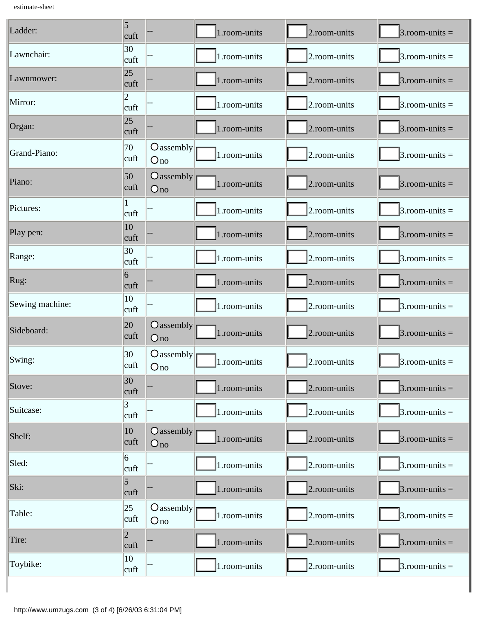estimate-sheet

| Ladder:         | $\overline{5}$<br>cuft  |                                 | 1.room-units | 2.room-units | $3.room$ -units = |
|-----------------|-------------------------|---------------------------------|--------------|--------------|-------------------|
| Lawnchair:      | 30<br> cutt             |                                 | 1.room-units | 2.room-units | $3.room$ -units = |
| Lawnmower:      | 25<br>cuft              |                                 | 1.room-units | 2.room-units | $3.room$ -units = |
| Mirror:         | $\overline{2}$<br> cutt |                                 | 1.room-units | 2.room-units | $3.room$ -units = |
| Organ:          | 25<br>cuft              |                                 | 1.room-units | 2.room-units | $3.room-units =$  |
| Grand-Piano:    | 70<br>cuft              | $\bigcirc$ assembly<br>Ono      | 1.room-units | 2.room-units | $3.room$ -units = |
| Piano:          | 50<br>cuft              | $O$ assembly<br>$O_{\text{no}}$ | 1.room-units | 2.room-units | $3.room$ -units = |
| Pictures:       | cuft                    |                                 | 1.room-units | 2.room-units | $3.room$ -units = |
| Play pen:       | 10<br>cuft              |                                 | 1.room-units | 2.room-units | $3.room$ -units = |
| Range:          | 30<br> cutt             |                                 | 1.room-units | 2.room-units | $3.room$ -units = |
| Rug:            | $\vert 6 \vert$<br>cuft |                                 | 1.room-units | 2.room-units | $3.room-units =$  |
| Sewing machine: | 10<br>cuft              |                                 | 1.room-units | 2.room-units | $3.room-units =$  |
| Sideboard:      | 20<br>cuft              | $O$ assembly<br>Ono             | 1.room-units | 2.room-units | $3.room$ -units = |
| Swing:          | 30<br>cuft              | $\bigcirc$ assembly<br>Ono      | 1.room-units | 2.room-units | $3.room$ -units = |
| Stove:          | 30<br>cuft              |                                 | 1.room-units | 2.room-units | $3.room-units =$  |
| Suitcase:       | 3<br> cutt              |                                 | 1.room-units | 2.room-units | $3.room$ -units = |
| Shelf:          | $ 10\rangle$<br>cuft    | $O$ assembly<br>O <sub>no</sub> | 1.room-units | 2.room-units | $3.room$ -units = |
| Sled:           | 6<br>cuft               |                                 | 1.room-units | 2.room-units | $3.room$ -units = |
| Ski:            | $\vert 5 \vert$<br>cuft |                                 | 1.room-units | 2.room-units | $3.room$ -units = |
| Table:          | $ 25\rangle$<br>cuft    | $O$ assembly<br>Ono             | 1.room-units | 2.room-units | $3.room$ -units = |
| Tire:           | $ 2\rangle$<br>cuft     |                                 | 1.room-units | 2.room-units | $3.room-units =$  |
| Toybike:        | 10<br> cutt             |                                 | 1.room-units | 2.room-units | $3.room$ -units = |

I